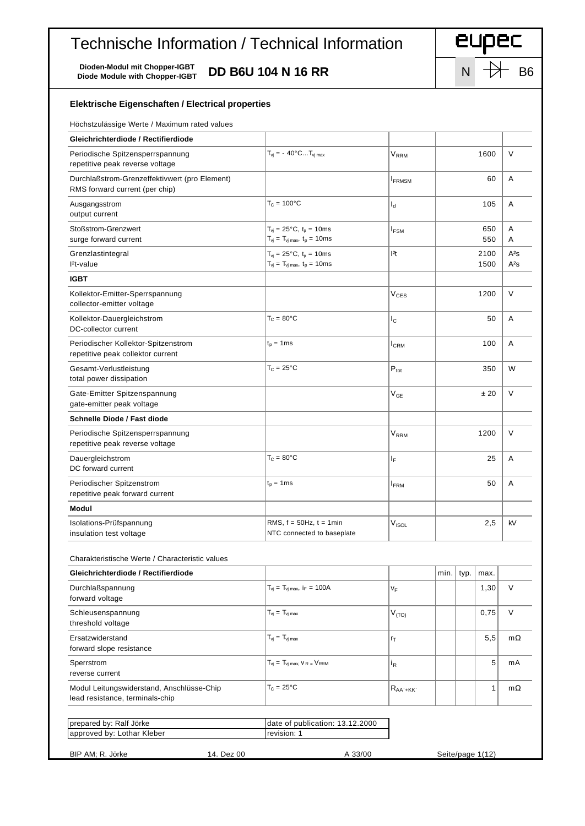## Technische Information / Technical Information

Dioden-Modul mit Chopper-IGBT<br>Diode Module with Chopper-IGBT DD B6U 104 N 16 RR



| Elektrische Eigenschaften / Electrical properties                               |                                                                                           |                         |            |              |                  |                  |
|---------------------------------------------------------------------------------|-------------------------------------------------------------------------------------------|-------------------------|------------|--------------|------------------|------------------|
| Höchstzulässige Werte / Maximum rated values                                    |                                                                                           |                         |            |              |                  |                  |
| Gleichrichterdiode / Rectifierdiode                                             |                                                                                           |                         |            |              |                  |                  |
| Periodische Spitzensperrspannung<br>repetitive peak reverse voltage             | $T_{vi} = -40^{\circ}CT_{vi}$ max                                                         | V <sub>RRM</sub>        |            |              | 1600             | $\vee$           |
| Durchlaßstrom-Grenzeffektivwert (pro Element)<br>RMS forward current (per chip) |                                                                                           | $I_{FRMSM}$             |            |              | 60               | A                |
| Ausgangsstrom<br>output current                                                 | $T_c = 100^{\circ}C$                                                                      | ıª                      |            |              | 105              | Α                |
| Stoßstrom-Grenzwert<br>surge forward current                                    | $T_{vi} = 25^{\circ}C$ , $t_p = 10$ ms<br>$T_{vj} = T_{vj \, max}, t_p = 10ms$            | $I_{FSM}$               | 650<br>550 |              | Α<br>Α           |                  |
| Grenzlastintegral<br>$l^2t$ -value                                              | $T_{vi} = 25^{\circ}C$ , $t_p = 10$ ms<br>$T_{vj} = T_{vj \, max}$ , $t_p = 10 \text{ms}$ | l <sup>2</sup> t        |            | 2100<br>1500 |                  | $A^2S$<br>$A^2S$ |
| <b>IGBT</b>                                                                     |                                                                                           |                         |            |              |                  |                  |
| Kollektor-Emitter-Sperrspannung<br>collector-emitter voltage                    |                                                                                           | V <sub>CES</sub>        |            |              | 1200             | V                |
| Kollektor-Dauergleichstrom<br>DC-collector current                              | $T_c = 80^{\circ}C$                                                                       | $I_{\rm C}$             |            | 50           |                  | A                |
| Periodischer Kollektor-Spitzenstrom<br>repetitive peak collektor current        | $t_p = 1$ ms                                                                              | $I_{\rm CRM}$           |            | 100          |                  |                  |
| Gesamt-Verlustleistung<br>total power dissipation                               | $T_c = 25^{\circ}C$                                                                       | $P_{\text{tot}}$        |            | 350          |                  | W                |
| Gate-Emitter Spitzenspannung<br>gate-emitter peak voltage                       |                                                                                           | $V_{GE}$                |            | ±20          |                  | V                |
| Schnelle Diode / Fast diode                                                     |                                                                                           |                         |            |              |                  |                  |
| Periodische Spitzensperrspannung<br>repetitive peak reverse voltage             |                                                                                           | V <sub>RRM</sub>        |            | 1200         |                  | V                |
| Dauergleichstrom<br>DC forward current                                          | $T_c = 80^{\circ}C$                                                                       | ΙF                      |            | 25           |                  | A                |
| Periodischer Spitzenstrom<br>repetitive peak forward current                    | $t_p = 1$ ms                                                                              | <b>I</b> <sub>FRM</sub> | 50         |              | A                |                  |
| Modul                                                                           |                                                                                           |                         |            |              |                  |                  |
| Isolations-Prüfspannung<br>insulation test voltage                              | RMS, $f = 50Hz$ , $t = 1min$<br>NTC connected to baseplate                                | V <sub>ISOL</sub>       |            | 2,5          |                  | kV               |
| Charakteristische Werte / Characteristic values                                 |                                                                                           |                         |            |              |                  |                  |
| Gleichrichterdiode / Rectifierdiode                                             |                                                                                           |                         | min.       | typ.         | max.             |                  |
| Durchlaßspannung<br>forward voltage                                             | $T_{vi} = T_{vi \, max}$ , i <sub>F</sub> = 100A                                          | VF                      |            |              | 1,30             | V                |
| Schleusenspannung<br>threshold voltage                                          | $T_{vi} = T_{vi \text{ max}}$                                                             | $V_{(TO)}$              |            |              | 0,75             | $\vee$           |
| Ersatzwiderstand<br>forward slope resistance                                    | $T_{vi} = T_{vi \text{ max}}$                                                             | rτ                      |            |              | 5,5              | $m\Omega$        |
| Sperrstrom<br>reverse current                                                   | $T_{vj} = T_{vj \, max}$ , $V_{R} = V_{RRM}$                                              | İŖ                      |            |              | 5                | mA               |
| Modul Leitungswiderstand, Anschlüsse-Chip<br>lead resistance, terminals-chip    | $T_c = 25^{\circ}C$                                                                       | $R_{AA^*+KK}$           |            |              | 1                | $m\Omega$        |
| prepared by: Ralf Jörke                                                         | date of publication: 13.12.2000                                                           |                         |            |              |                  |                  |
| approved by: Lothar Kleber                                                      | revision: 1                                                                               |                         |            |              |                  |                  |
|                                                                                 |                                                                                           |                         |            |              |                  |                  |
| BIP AM; R. Jörke<br>14. Dez 00                                                  | A 33/00                                                                                   |                         |            |              | Seite/page 1(12) |                  |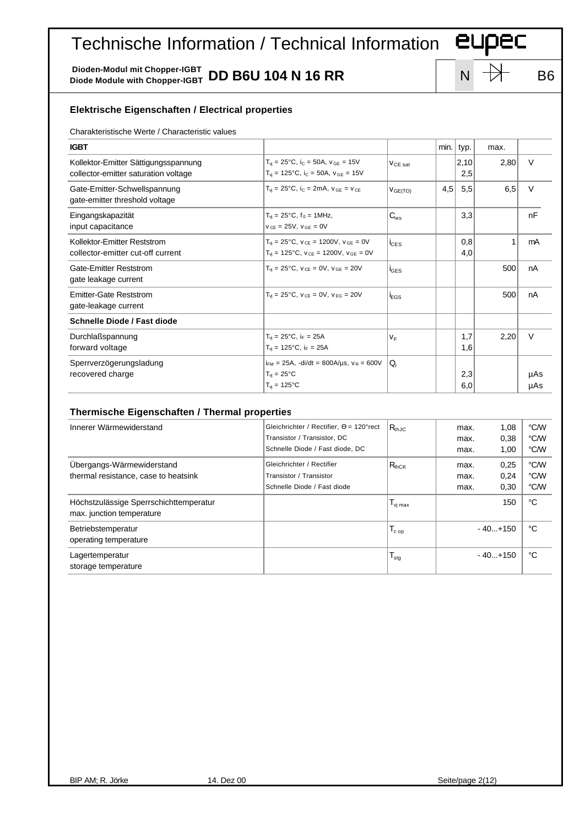## Technische Information / Technical Information **EUPEC**

Dioden-Modul mit Chopper-IGBT<br>Diode Module with Chopper-IGBT **DD B6U 104 N 16 RR** N N N B6

| <b>Elektrische Eigenschaften / Electrical properties</b>                     |                                                                                                                          |                         |      |                      |                      |                      |  |
|------------------------------------------------------------------------------|--------------------------------------------------------------------------------------------------------------------------|-------------------------|------|----------------------|----------------------|----------------------|--|
| Charakteristische Werte / Characteristic values                              |                                                                                                                          |                         |      |                      |                      |                      |  |
| <b>IGBT</b>                                                                  |                                                                                                                          |                         | min. | typ.                 | max.                 |                      |  |
| Kollektor-Emitter Sättigungsspannung<br>collector-emitter saturation voltage | $T_{vi} = 25^{\circ}C$ , i <sub>C</sub> = 50A, $v_{GE} = 15V$<br>$T_{vi}$ = 125°C, $i_C$ = 50A, $v_{GE}$ = 15V           | V <sub>CE sat</sub>     |      | 2,10<br>2,5          | 2,80                 | $\vee$               |  |
| Gate-Emitter-Schwellspannung<br>gate-emitter threshold voltage               | $T_{vi} = 25^{\circ}C$ , i <sub>C</sub> = 2mA, $V_{GE} = V_{CE}$                                                         | V <sub>GE(TO)</sub>     | 4,5  | 5,5                  | 6,5                  | $\vee$               |  |
| Eingangskapazität<br>input capacitance                                       | $T_{vi} = 25^{\circ}C$ , $f_0 = 1$ MHz,<br>$v_{CF} = 25V$ , $v_{GF} = 0V$                                                | $C_{\text{ies}}$        |      | 3,3                  |                      | nF                   |  |
| Kollektor-Emitter Reststrom<br>collector-emitter cut-off current             | $T_{vi} = 25^{\circ}C$ , $V_{CE} = 1200V$ , $V_{GE} = 0V$<br>$T_{vi}$ = 125°C, $V_{CE}$ = 1200V, $V_{GE}$ = 0V           | i <sub>CES</sub>        |      | 0,8<br>4,0           | $\mathbf{1}$         | mA                   |  |
| Gate-Emitter Reststrom<br>gate leakage current                               | $T_{vi} = 25^{\circ}C$ , $V_{CE} = 0V$ , $V_{GE} = 20V$                                                                  | <b>I</b> GES            |      |                      | 500                  | nA                   |  |
| <b>Emitter-Gate Reststrom</b><br>gate-leakage current                        | $T_{vi} = 25^{\circ}C$ , $V_{CF} = 0V$ , $V_{FG} = 20V$                                                                  | <b>i</b> <sub>EGS</sub> |      |                      | 500                  | nA                   |  |
| Schnelle Diode / Fast diode                                                  |                                                                                                                          |                         |      |                      |                      |                      |  |
| Durchlaßspannung<br>forward voltage                                          | $T_{vi} = 25^{\circ}C$ , i <sub>F</sub> = 25A<br>$T_{vi} = 125^{\circ}C$ , i <sub>F</sub> = 25A                          | $V_F$                   |      | 1,7<br>1,6           | 2,20                 | $\vee$               |  |
| Sperrverzögerungsladung<br>recovered charge                                  | $i_{FM}$ = 25A, -di/dt = 800A/µs, $v_R$ = 600V<br>$T_{vi} = 25^{\circ}C$<br>$T_{vi} = 125$ °C                            | Q,                      |      | 2,3<br>6,0           |                      | µAs<br>μAs           |  |
| Thermische Eigenschaften / Thermal properties                                |                                                                                                                          |                         |      |                      |                      |                      |  |
| Innerer Wärmewiderstand                                                      | Gleichrichter / Rectifier, $\Theta = 120^{\circ}$ rect<br>Transistor / Transistor, DC<br>Schnelle Diode / Fast diode, DC | $R_{th,IC}$             |      | max.<br>max.<br>max. | 1,08<br>0,38<br>1,00 | °C/W<br>°C/W<br>°C/W |  |
| Übergangs-Wärmewiderstand<br>thermal resistance, case to heatsink            | Gleichrichter / Rectifier<br>Transistor / Transistor                                                                     | $R_{thCK}$              |      | max.<br>max.         | 0,25<br>0,24         | °C/W<br>°C/W         |  |

Höchstzulässige Sperrschichttemperatur and the state of the state of the state of the state of the state of the state of the state of the state of the state of the state of the state of the state of the state of the state

Betriebstemperatur **Betriebstemperatur**  $\begin{vmatrix} 1 & 1 \end{vmatrix}$   $\begin{vmatrix} 1 & 1 \end{vmatrix}$   $\begin{vmatrix} 1 & 0 \end{vmatrix}$   $\begin{vmatrix} 1 & 0 \end{vmatrix}$   $\begin{vmatrix} 1 & 0 \end{vmatrix}$   $\begin{vmatrix} 1 & 0 \end{vmatrix}$   $\begin{vmatrix} 1 & 0 \end{vmatrix}$   $\begin{vmatrix} 1 & 0 \end{vmatrix}$   $\begin{vmatrix} 1 & 0 \end{vmatrix}$ 

Lagertemperatur  $\begin{vmatrix} 1 & 1 \end{vmatrix}$   $\begin{vmatrix} 1 & 1 \end{vmatrix}$   $\begin{vmatrix} 1 & 1 \end{vmatrix}$   $\begin{vmatrix} 1 & 1 \end{vmatrix}$   $\begin{vmatrix} 1 & 1 \end{vmatrix}$   $\begin{vmatrix} 1 & 1 \end{vmatrix}$   $\begin{vmatrix} 1 & 1 \end{vmatrix}$   $\begin{vmatrix} 1 & 1 \end{vmatrix}$   $\begin{vmatrix} 1 & 1 \end{vmatrix}$   $\begin{vmatrix} 1 & 1 \end{vmatrix}$   $\begin{vm$ 

max. junction temperature

operating temperature

storage temperature

Schnelle Diode / Fast diode max. 0,30  $\degree$  C/W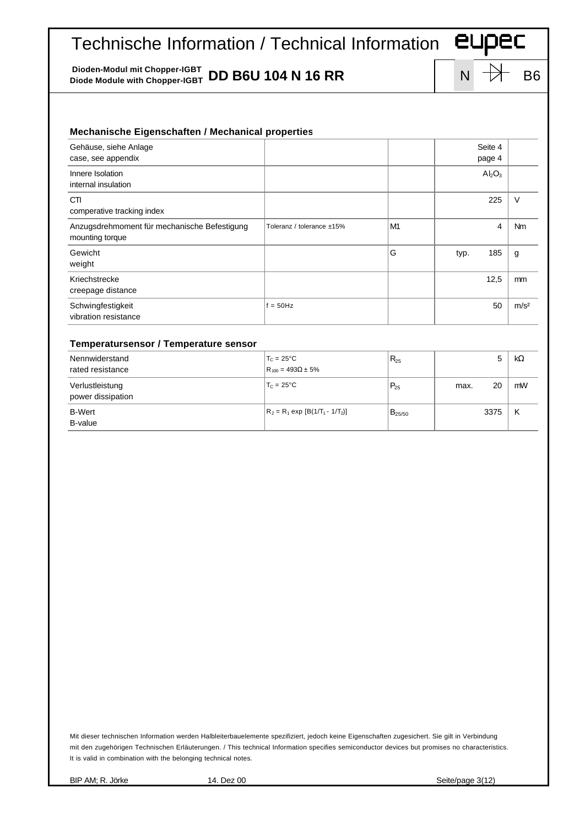## Technische Information / Technical Information **EUPEC**

Dioden-Modul mit Chopper-IGBT<br>Diode Module with Chopper-IGBT **DD B6U 104 N 16 RR** N N N B6

| Gehäuse, siehe Anlage<br>case, see appendix                     |                           |                |      | Seite 4<br>page 4              |                  |
|-----------------------------------------------------------------|---------------------------|----------------|------|--------------------------------|------------------|
| Innere Isolation<br>internal insulation                         |                           |                |      | Al <sub>2</sub> O <sub>3</sub> |                  |
| CTI<br>comperative tracking index                               |                           |                |      | 225                            | $\vee$           |
| Anzugsdrehmoment für mechanische Befestigung<br>mounting torque | Toleranz / tolerance ±15% | M <sub>1</sub> |      | 4                              | Nm               |
| Gewicht<br>weight                                               |                           | G              | typ. | 185                            | g                |
| Kriechstrecke<br>creepage distance                              |                           |                |      | 12,5                           | mm               |
| Schwingfestigkeit<br>vibration resistance                       | $f = 50$ Hz               |                |      | 50                             | m/s <sup>2</sup> |

## **Temperatursensor / Temperature sensor**

| Nennwiderstand<br>rated resistance   | $T_c = 25^{\circ}C$<br>$R_{100} = 493\Omega \pm 5\%$ | $R_{25}$    |      | 5    | <b>kW</b> |
|--------------------------------------|------------------------------------------------------|-------------|------|------|-----------|
| Verlustleistung<br>power dissipation | $T_c = 25^{\circ}$ C                                 | $P_{25}$    | max. | 20   | mW        |
| <b>B-Wert</b><br>B-value             | $R_2 = R_1 \exp [B(1/T_1 - 1/T_2)]$                  | $B_{25/50}$ |      | 3375 | κ         |

Mit dieser technischen Information werden Halbleiterbauelemente spezifiziert, jedoch keine Eigenschaften zugesichert. Sie gilt in Verbindung mit den zugehörigen Technischen Erläuterungen. / This technical Information specifies semiconductor devices but promises no characteristics. It is valid in combination with the belonging technical notes.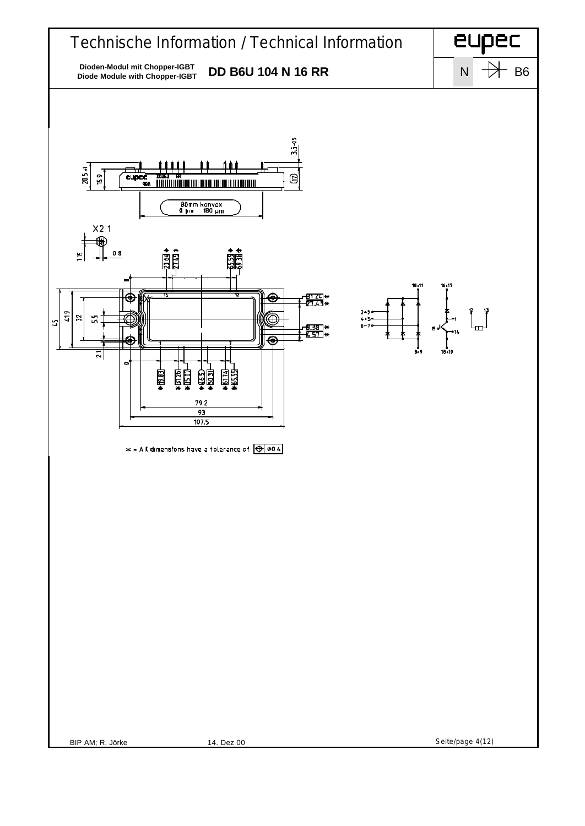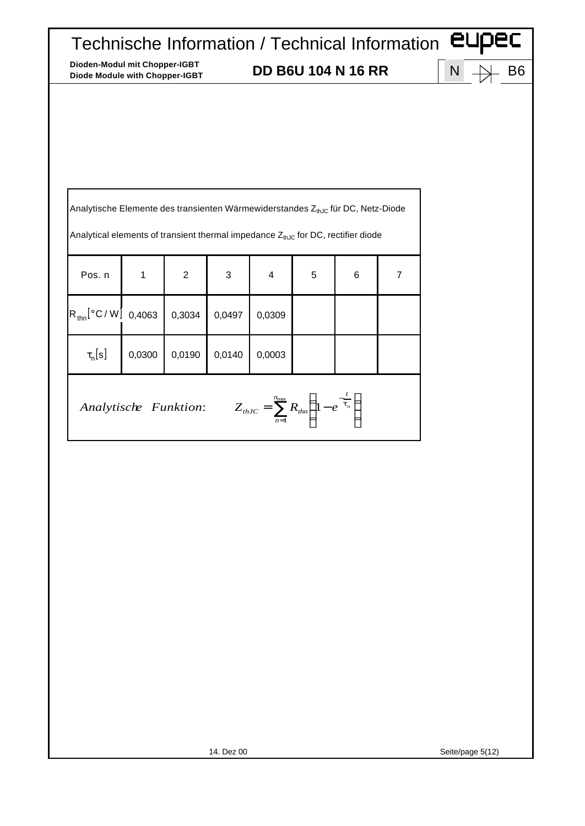| Analytische Elemente des transienten Wärmewiderstandes ZthJc für DC, Netz-Diode                       |        |                |        |        |   |   |                |  |
|-------------------------------------------------------------------------------------------------------|--------|----------------|--------|--------|---|---|----------------|--|
| Analytical elements of transient thermal impedance $Z_{thJC}$ for DC, rectifier diode                 |        |                |        |        |   |   |                |  |
| Pos. n                                                                                                | 1      | $\overline{2}$ | 3      | 4      | 5 | 6 | $\overline{7}$ |  |
| $R_{\text{thn}}[^{\circ}C/W]$ 0,4063                                                                  |        | 0,3034         | 0,0497 | 0,0309 |   |   |                |  |
| $\tau_{n}[s]$                                                                                         | 0,0300 | 0,0190         | 0,0140 | 0,0003 |   |   |                |  |
| Analytische Funktion: $Z_{thJC} = \sum_{n=1}^{n_{max}} R_{thn} \left( 1 - e^{-\frac{t}{t_n}} \right)$ |        |                |        |        |   |   |                |  |
|                                                                                                       |        |                |        |        |   |   |                |  |
|                                                                                                       |        |                |        |        |   |   |                |  |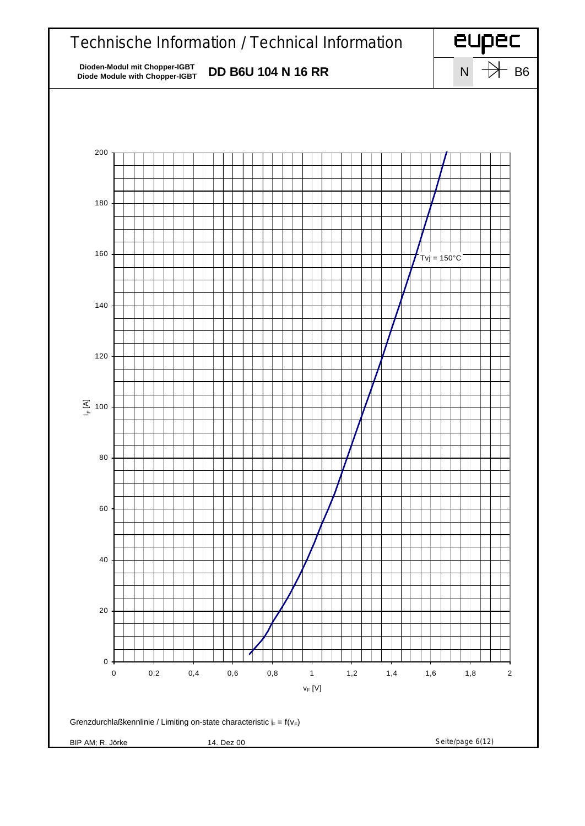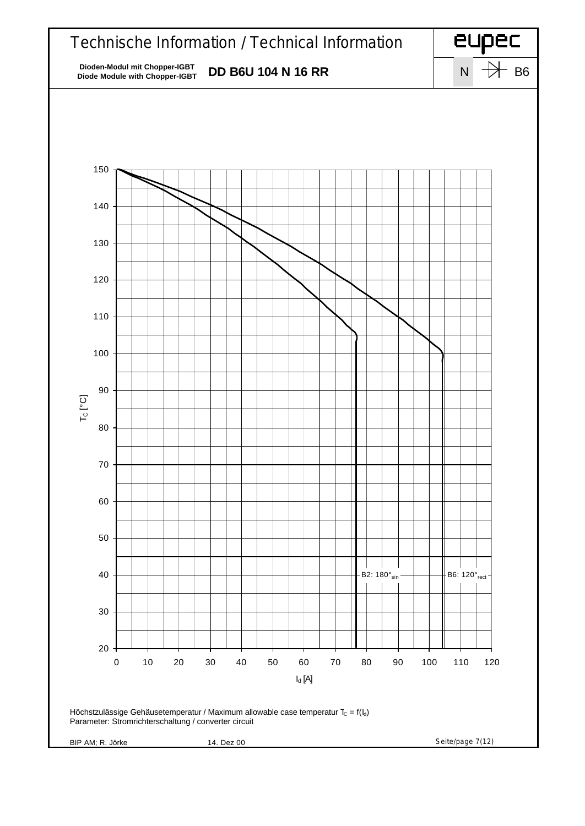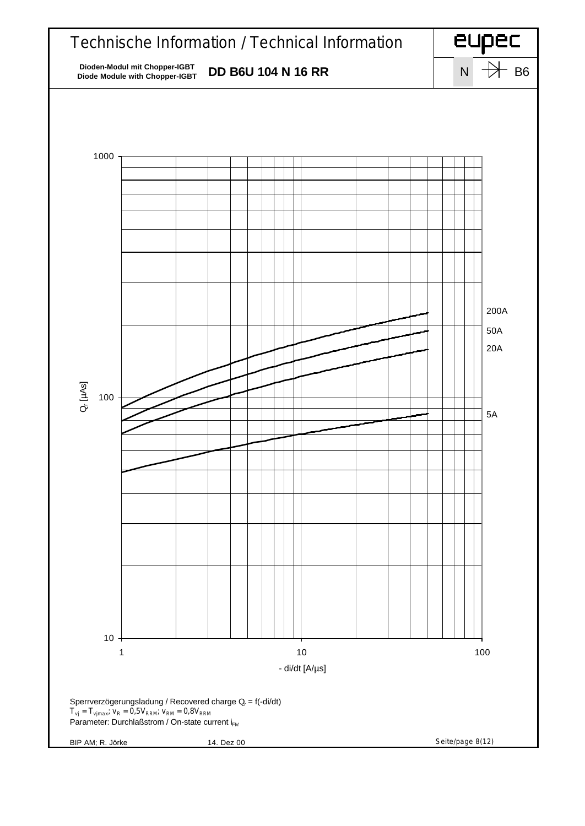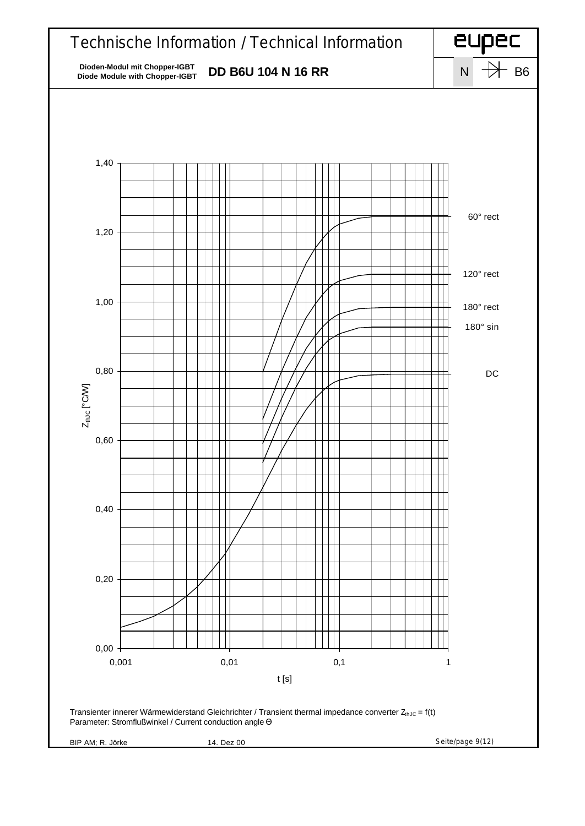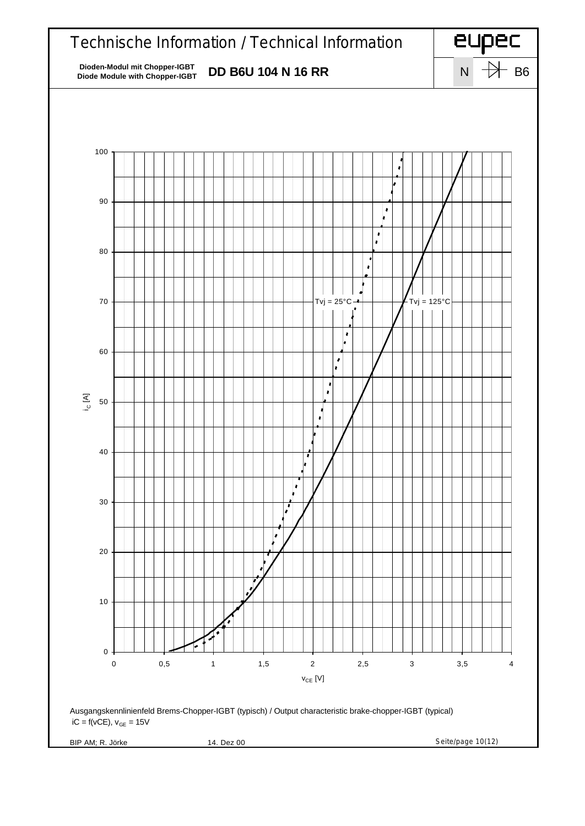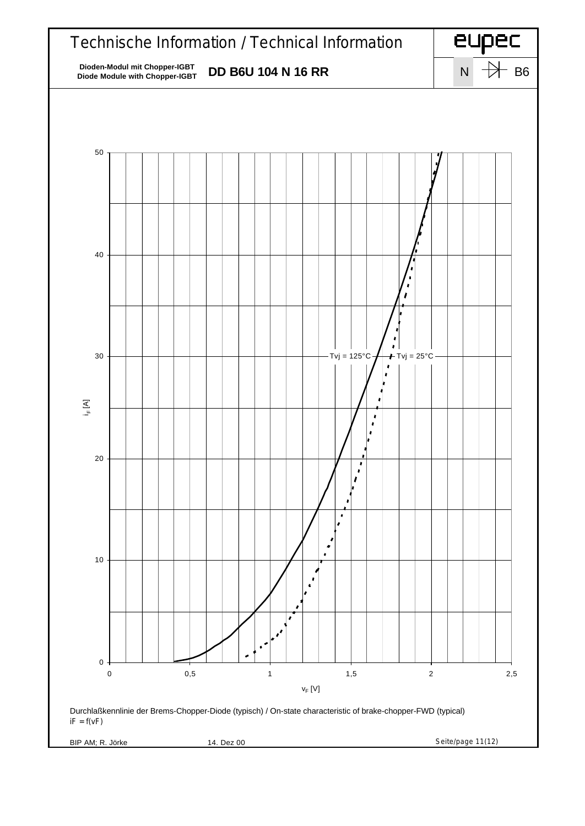